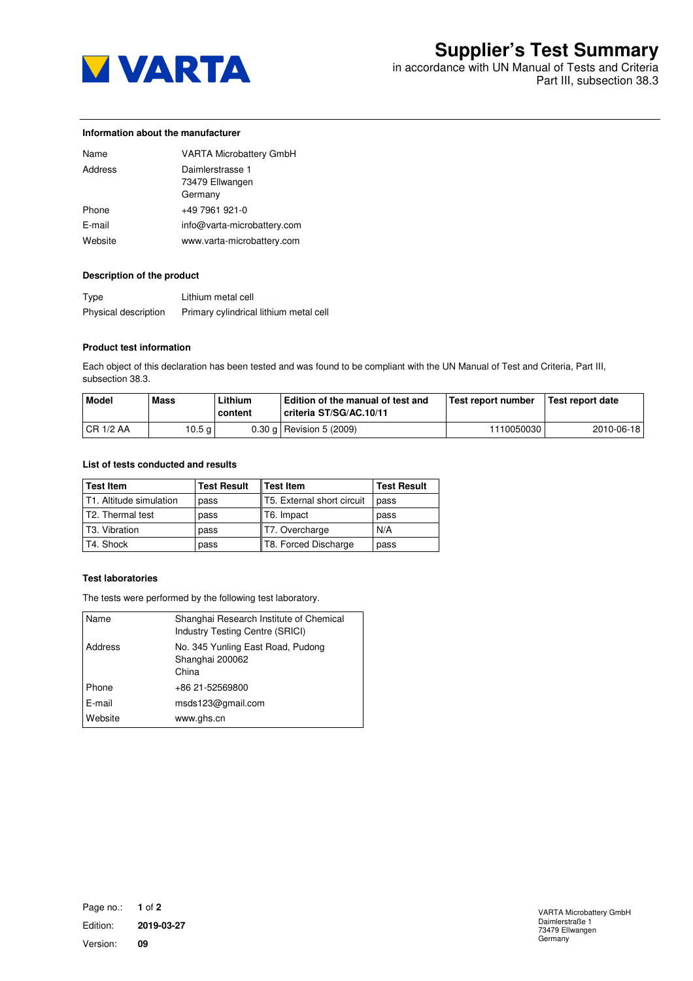

in accordance with UN Manual of Tests and Criteria Part III, subsection 38.3

### **Information about the manufacturer**

| Name    | <b>VARTA Microbattery GmbH</b>                 |
|---------|------------------------------------------------|
| Address | Daimlerstrasse 1<br>73479 Ellwangen<br>Germany |
| Phone   | +49 7961 921-0                                 |
| E-mail  | info@varta-microbattery.com                    |
| Website | www.varta-microbattery.com                     |

# **Description of the product**

| Type                 | Lithium metal cell                     |
|----------------------|----------------------------------------|
| Physical description | Primary cylindrical lithium metal cell |

### **Product test information**

Each object of this declaration has been tested and was found to be compliant with the UN Manual of Test and Criteria, Part III, subsection 38.3.

| <b>Model</b> | Mass   | Lithium<br>content | Edition of the manual of test and<br>criteria ST/SG/AC.10/11 | Test report number | Test report date |
|--------------|--------|--------------------|--------------------------------------------------------------|--------------------|------------------|
| CR1/2AA      | 10.5 g |                    | 0.30 g   Revision 5 (2009)                                   | 1110050030         | 2010-06-18       |

## **List of tests conducted and results**

| <b>Test Item</b>          | <b>Test Result</b> | <b>Test Item</b>           | <b>Test Result</b> |
|---------------------------|--------------------|----------------------------|--------------------|
| l T1. Altitude simulation | pass               | T5. External short circuit | pass               |
| T2. Thermal test          | pass               | T6. Impact                 | pass               |
| l T3. Vibration           | pass               | T7. Overcharge             | N/A                |
| T4. Shock                 | pass               | T8. Forced Discharge       | pass               |

### **Test laboratories**

The tests were performed by the following test laboratory.

| Name    | Shanghai Research Institute of Chemical<br>Industry Testing Centre (SRICI) |
|---------|----------------------------------------------------------------------------|
| Address | No. 345 Yunling East Road, Pudong<br>Shanghai 200062<br>China              |
| Phone   | +86 21-52569800                                                            |
| E-mail  | msds123@gmail.com                                                          |
| Website | www.ghs.cn                                                                 |